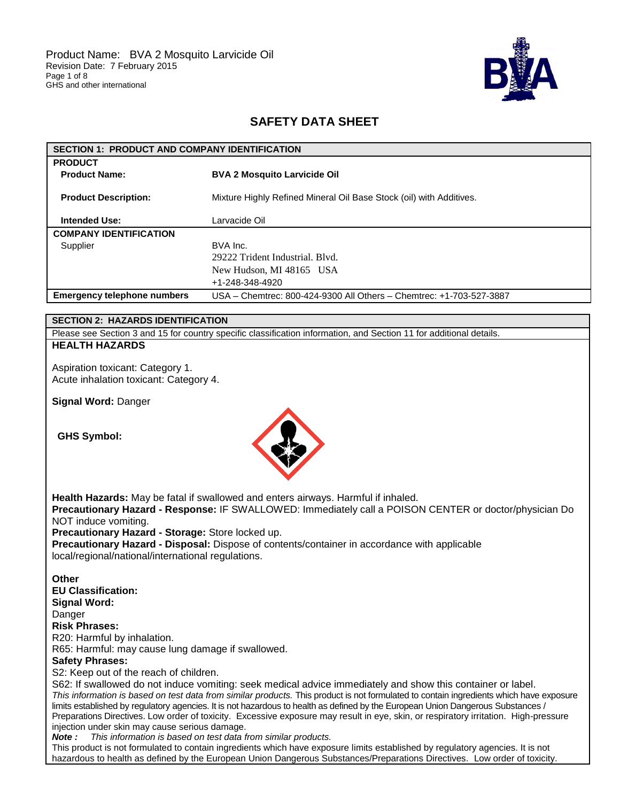

# **SAFETY DATA SHEET**

| <b>SECTION 1: PRODUCT AND COMPANY IDENTIFICATION</b> |                                                                     |  |
|------------------------------------------------------|---------------------------------------------------------------------|--|
| <b>PRODUCT</b>                                       |                                                                     |  |
| <b>Product Name:</b>                                 | <b>BVA 2 Mosquito Larvicide Oil</b>                                 |  |
| <b>Product Description:</b>                          | Mixture Highly Refined Mineral Oil Base Stock (oil) with Additives. |  |
| <b>Intended Use:</b>                                 | Larvacide Oil                                                       |  |
| <b>COMPANY IDENTIFICATION</b>                        |                                                                     |  |
| Supplier                                             | BVA Inc.                                                            |  |
|                                                      | 29222 Trident Industrial, Blyd.                                     |  |
|                                                      | New Hudson, MI 48165 USA                                            |  |
|                                                      | +1-248-348-4920                                                     |  |
| <b>Emergency telephone numbers</b>                   | USA - Chemtrec: 800-424-9300 All Others - Chemtrec: +1-703-527-3887 |  |

## **SECTION 2: HAZARDS IDENTIFICATION**

Please see Section 3 and 15 for country specific classification information, and Section 11 for additional details.

## **HEALTH HAZARDS**

Aspiration toxicant: Category 1. Acute inhalation toxicant: Category 4.

**Signal Word:** Danger

**GHS Symbol:**



**Health Hazards:** May be fatal if swallowed and enters airways. Harmful if inhaled. **Precautionary Hazard - Response:** IF SWALLOWED: Immediately call a POISON CENTER or doctor/physician Do NOT induce vomiting. **Precautionary Hazard - Storage:** Store locked up. **Precautionary Hazard - Disposal:** Dispose of contents/container in accordance with applicable local/regional/national/international regulations.

**Other EU Classification: Signal Word:**

Danger

**Risk Phrases:**

R20: Harmful by inhalation.

R65: Harmful: may cause lung damage if swallowed.

## **Safety Phrases:**

S2: Keep out of the reach of children.

S62: If swallowed do not induce vomiting: seek medical advice immediately and show this container or label. *This information is based on test data from similar products.* This product is not formulated to contain ingredients which have exposure limits established by regulatory agencies. It is not hazardous to health as defined by the European Union Dangerous Substances / Preparations Directives. Low order of toxicity. Excessive exposure may result in eye, skin, or respiratory irritation. High-pressure injection under skin may cause serious damage.

*Note : This information is based on test data from similar products.*

This product is not formulated to contain ingredients which have exposure limits established by regulatory agencies. It is not hazardous to health as defined by the European Union Dangerous Substances/Preparations Directives. Low order of toxicity.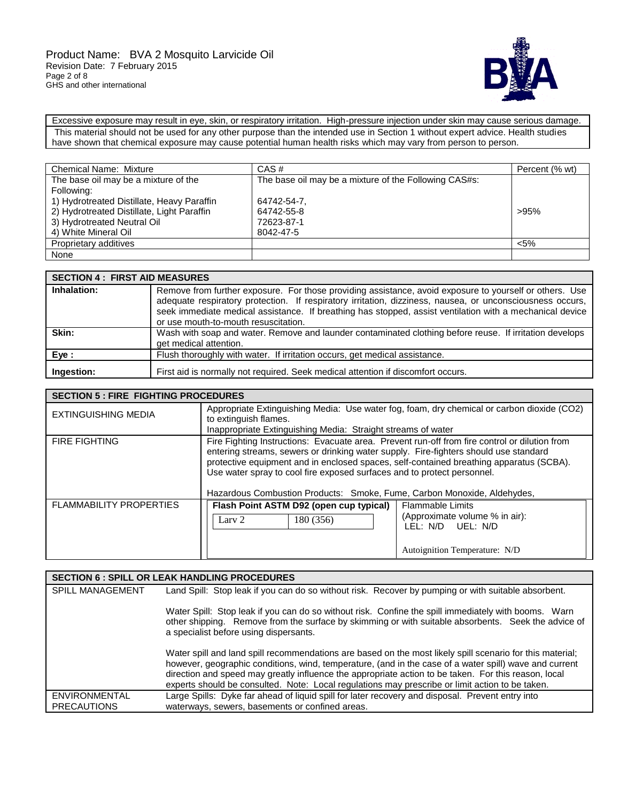

Excessive exposure may result in eye, skin, or respiratory irritation. High-pressure injection under skin may cause serious damage. This material should not be used for any other purpose than the intended use in Section 1 without expert advice. Health studies have shown that chemical exposure may cause potential human health risks which may vary from person to person.

| <b>Chemical Name: Mixture</b>              | CAS#                                                  | Percent (% wt) |
|--------------------------------------------|-------------------------------------------------------|----------------|
| The base oil may be a mixture of the       | The base oil may be a mixture of the Following CAS#s: |                |
| Following:                                 |                                                       |                |
| 1) Hydrotreated Distillate, Heavy Paraffin | 64742-54-7.                                           |                |
| 2) Hydrotreated Distillate, Light Paraffin | 64742-55-8                                            | >95%           |
| 3) Hydrotreated Neutral Oil                | 72623-87-1                                            |                |
| 4) White Mineral Oil                       | 8042-47-5                                             |                |
| Proprietary additives                      |                                                       | $< 5\%$        |
| None                                       |                                                       |                |

| <b>SECTION 4 : FIRST AID MEASURES</b> |                                                                                                                                                                                                                                                                                                                                                                          |
|---------------------------------------|--------------------------------------------------------------------------------------------------------------------------------------------------------------------------------------------------------------------------------------------------------------------------------------------------------------------------------------------------------------------------|
| Inhalation:                           | Remove from further exposure. For those providing assistance, avoid exposure to yourself or others. Use<br>adequate respiratory protection. If respiratory irritation, dizziness, nausea, or unconsciousness occurs,<br>seek immediate medical assistance. If breathing has stopped, assist ventilation with a mechanical device<br>or use mouth-to-mouth resuscitation. |
| Skin:                                 | Wash with soap and water. Remove and launder contaminated clothing before reuse. If irritation develops<br>get medical attention.                                                                                                                                                                                                                                        |
| Eye :                                 | Flush thoroughly with water. If irritation occurs, get medical assistance.                                                                                                                                                                                                                                                                                               |
| Ingestion:                            | First aid is normally not required. Seek medical attention if discomfort occurs.                                                                                                                                                                                                                                                                                         |

| <b>SECTION 5 : FIRE FIGHTING PROCEDURES</b> |                                                                                                                                                                                                                                                                                                                                                                                                                                        |                                                                                                                 |  |
|---------------------------------------------|----------------------------------------------------------------------------------------------------------------------------------------------------------------------------------------------------------------------------------------------------------------------------------------------------------------------------------------------------------------------------------------------------------------------------------------|-----------------------------------------------------------------------------------------------------------------|--|
| EXTINGUISHING MEDIA                         | Appropriate Extinguishing Media: Use water fog, foam, dry chemical or carbon dioxide (CO2)<br>to extinguish flames.<br>Inappropriate Extinguishing Media: Straight streams of water                                                                                                                                                                                                                                                    |                                                                                                                 |  |
| <b>FIRE FIGHTING</b>                        | Fire Fighting Instructions: Evacuate area. Prevent run-off from fire control or dilution from<br>entering streams, sewers or drinking water supply. Fire-fighters should use standard<br>protective equipment and in enclosed spaces, self-contained breathing apparatus (SCBA).<br>Use water spray to cool fire exposed surfaces and to protect personnel.<br>Hazardous Combustion Products: Smoke, Fume, Carbon Monoxide, Aldehydes, |                                                                                                                 |  |
| <b>FLAMMABILITY PROPERTIES</b>              | Flash Point ASTM D92 (open cup typical)<br>Lary 2<br>180 (356)                                                                                                                                                                                                                                                                                                                                                                         | <b>Flammable Limits</b><br>(Approximate volume % in air):<br>LEL: N/D UEL: N/D<br>Autoignition Temperature: N/D |  |

|                                            | <b>SECTION 6 : SPILL OR LEAK HANDLING PROCEDURES</b>                                                                                                                                                                                                                                                                                                                                                                           |
|--------------------------------------------|--------------------------------------------------------------------------------------------------------------------------------------------------------------------------------------------------------------------------------------------------------------------------------------------------------------------------------------------------------------------------------------------------------------------------------|
| <b>SPILL MANAGEMENT</b>                    | Land Spill: Stop leak if you can do so without risk. Recover by pumping or with suitable absorbent.                                                                                                                                                                                                                                                                                                                            |
|                                            | Water Spill: Stop leak if you can do so without risk. Confine the spill immediately with booms. Warn<br>other shipping. Remove from the surface by skimming or with suitable absorbents. Seek the advice of<br>a specialist before using dispersants.                                                                                                                                                                          |
|                                            | Water spill and land spill recommendations are based on the most likely spill scenario for this material;<br>however, geographic conditions, wind, temperature, (and in the case of a water spill) wave and current<br>direction and speed may greatly influence the appropriate action to be taken. For this reason, local<br>experts should be consulted. Note: Local regulations may prescribe or limit action to be taken. |
| <b>ENVIRONMENTAL</b><br><b>PRECAUTIONS</b> | Large Spills: Dyke far ahead of liquid spill for later recovery and disposal. Prevent entry into<br>waterways, sewers, basements or confined areas.                                                                                                                                                                                                                                                                            |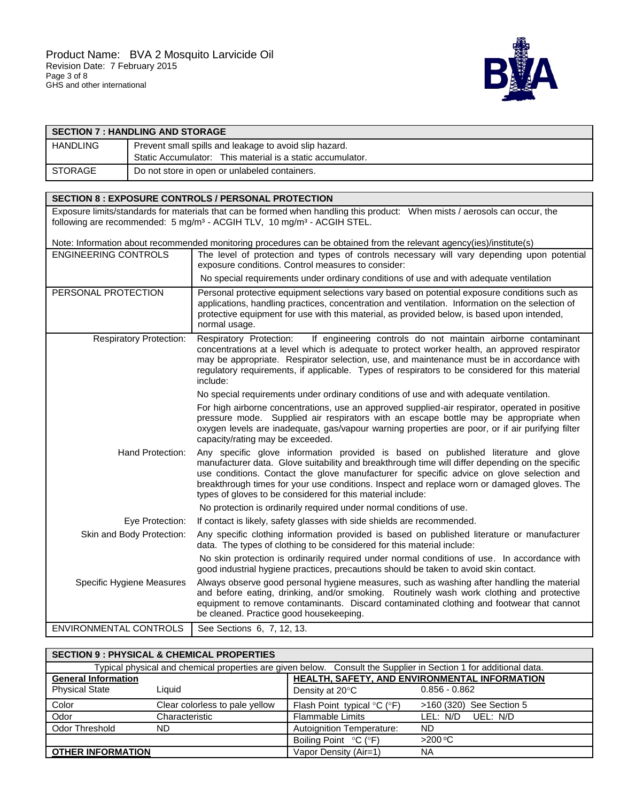

| <b>SECTION 7 : HANDLING AND STORAGE</b> |                           |                                                                                                                                                                                                                                                                                                                                                                                                                                                   |  |  |
|-----------------------------------------|---------------------------|---------------------------------------------------------------------------------------------------------------------------------------------------------------------------------------------------------------------------------------------------------------------------------------------------------------------------------------------------------------------------------------------------------------------------------------------------|--|--|
| <b>HANDLING</b>                         |                           | Prevent small spills and leakage to avoid slip hazard.                                                                                                                                                                                                                                                                                                                                                                                            |  |  |
|                                         |                           | Static Accumulator: This material is a static accumulator.                                                                                                                                                                                                                                                                                                                                                                                        |  |  |
| <b>STORAGE</b>                          |                           | Do not store in open or unlabeled containers.                                                                                                                                                                                                                                                                                                                                                                                                     |  |  |
|                                         |                           |                                                                                                                                                                                                                                                                                                                                                                                                                                                   |  |  |
|                                         |                           | <b>SECTION 8 : EXPOSURE CONTROLS / PERSONAL PROTECTION</b>                                                                                                                                                                                                                                                                                                                                                                                        |  |  |
|                                         |                           | Exposure limits/standards for materials that can be formed when handling this product: When mists / aerosols can occur, the<br>following are recommended: 5 mg/m <sup>3</sup> - ACGIH TLV, 10 mg/m <sup>3</sup> - ACGIH STEL.                                                                                                                                                                                                                     |  |  |
|                                         |                           | Note: Information about recommended monitoring procedures can be obtained from the relevant agency(ies)/institute(s)                                                                                                                                                                                                                                                                                                                              |  |  |
| <b>ENGINEERING CONTROLS</b>             |                           | The level of protection and types of controls necessary will vary depending upon potential<br>exposure conditions. Control measures to consider:                                                                                                                                                                                                                                                                                                  |  |  |
|                                         |                           | No special requirements under ordinary conditions of use and with adequate ventilation                                                                                                                                                                                                                                                                                                                                                            |  |  |
| PERSONAL PROTECTION                     |                           | Personal protective equipment selections vary based on potential exposure conditions such as<br>applications, handling practices, concentration and ventilation. Information on the selection of<br>protective equipment for use with this material, as provided below, is based upon intended,<br>normal usage.                                                                                                                                  |  |  |
| <b>Respiratory Protection:</b>          |                           | Respiratory Protection:<br>If engineering controls do not maintain airborne contaminant<br>concentrations at a level which is adequate to protect worker health, an approved respirator<br>may be appropriate. Respirator selection, use, and maintenance must be in accordance with<br>regulatory requirements, if applicable. Types of respirators to be considered for this material<br>include:                                               |  |  |
|                                         |                           | No special requirements under ordinary conditions of use and with adequate ventilation.                                                                                                                                                                                                                                                                                                                                                           |  |  |
|                                         |                           | For high airborne concentrations, use an approved supplied-air respirator, operated in positive<br>pressure mode. Supplied air respirators with an escape bottle may be appropriate when<br>oxygen levels are inadequate, gas/vapour warning properties are poor, or if air purifying filter<br>capacity/rating may be exceeded.                                                                                                                  |  |  |
| Hand Protection:                        |                           | Any specific glove information provided is based on published literature and glove<br>manufacturer data. Glove suitability and breakthrough time will differ depending on the specific<br>use conditions. Contact the glove manufacturer for specific advice on glove selection and<br>breakthrough times for your use conditions. Inspect and replace worn or damaged gloves. The<br>types of gloves to be considered for this material include: |  |  |
|                                         |                           | No protection is ordinarily required under normal conditions of use.                                                                                                                                                                                                                                                                                                                                                                              |  |  |
| Eve Protection:                         |                           | If contact is likely, safety glasses with side shields are recommended.                                                                                                                                                                                                                                                                                                                                                                           |  |  |
| Skin and Body Protection:               |                           | Any specific clothing information provided is based on published literature or manufacturer<br>data. The types of clothing to be considered for this material include:                                                                                                                                                                                                                                                                            |  |  |
|                                         |                           | No skin protection is ordinarily required under normal conditions of use. In accordance with<br>good industrial hygiene practices, precautions should be taken to avoid skin contact.                                                                                                                                                                                                                                                             |  |  |
|                                         | Specific Hygiene Measures | Always observe good personal hygiene measures, such as washing after handling the material<br>and before eating, drinking, and/or smoking. Routinely wash work clothing and protective<br>equipment to remove contaminants. Discard contaminated clothing and footwear that cannot<br>be cleaned. Practice good housekeeping.                                                                                                                     |  |  |
| <b>ENVIRONMENTAL CONTROLS</b>           |                           | See Sections 6, 7, 12, 13.                                                                                                                                                                                                                                                                                                                                                                                                                        |  |  |

| <b>SECTION 9 : PHYSICAL &amp; CHEMICAL PROPERTIES</b> |                                                                                                                  |                                                     |                                               |
|-------------------------------------------------------|------------------------------------------------------------------------------------------------------------------|-----------------------------------------------------|-----------------------------------------------|
|                                                       | Typical physical and chemical properties are given below. Consult the Supplier in Section 1 for additional data. |                                                     |                                               |
| <b>General Information</b>                            |                                                                                                                  |                                                     | HEALTH, SAFETY, AND ENVIRONMENTAL INFORMATION |
| <b>Physical State</b>                                 | Liauid                                                                                                           | Density at 20°C                                     | $0.856 - 0.862$                               |
| Color                                                 | Clear colorless to pale yellow                                                                                   | Flash Point typical ${}^{\circ}C$ ( ${}^{\circ}F$ ) | >160 (320) See Section 5                      |
| Odor                                                  | Characteristic                                                                                                   | <b>Flammable Limits</b>                             | LEL: N/D<br>UEL: N/D                          |
| Odor Threshold                                        | ND.                                                                                                              | Autoignition Temperature:                           | ND.                                           |
|                                                       |                                                                                                                  | Boiling Point °C (°F)                               | $>200^{\circ}$ C                              |
| <b>OTHER INFORMATION</b>                              |                                                                                                                  | Vapor Density (Air=1)                               | NA.                                           |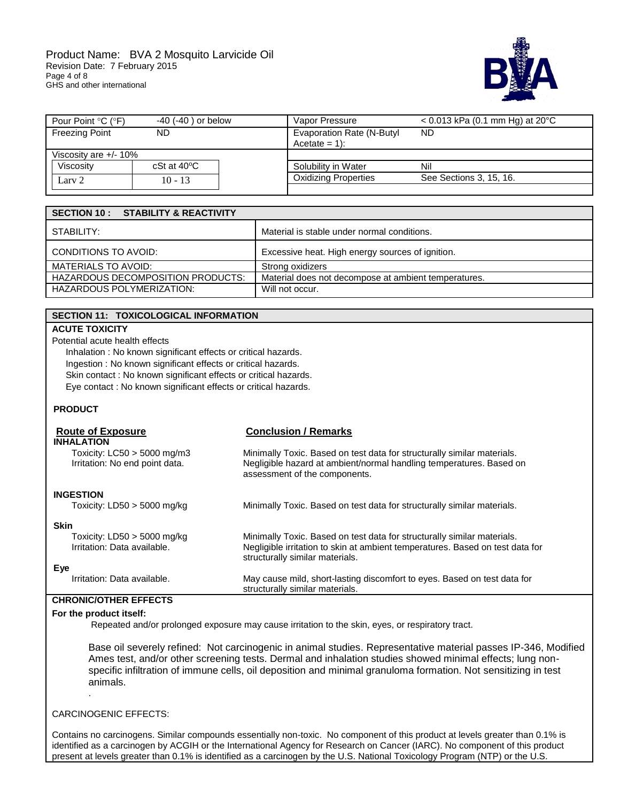

| Pour Point °C (°F)    | $-40$ ( $-40$ ) or below | Vapor Pressure                                      | $<$ 0.013 kPa (0.1 mm Hg) at 20 °C |
|-----------------------|--------------------------|-----------------------------------------------------|------------------------------------|
| <b>Freezing Point</b> | ND.                      | <b>Evaporation Rate (N-Butyl</b><br>$Acetate = 1$ : | ND                                 |
| Viscosity are +/- 10% |                          |                                                     |                                    |
| Viscosity             | $cSt$ at $40^{\circ}C$   | Solubility in Water                                 | Nil                                |
| Lary 2                | $10 - 13$                | <b>Oxidizing Properties</b>                         | See Sections 3, 15, 16.            |

| <b>SECTION 10 : STABILITY &amp; REACTIVITY</b> |                                                      |
|------------------------------------------------|------------------------------------------------------|
| STABILITY:                                     | Material is stable under normal conditions.          |
| CONDITIONS TO AVOID:                           | Excessive heat. High energy sources of ignition.     |
| <b>MATERIALS TO AVOID:</b>                     | Strong oxidizers                                     |
| <b>HAZARDOUS DECOMPOSITION PRODUCTS:</b>       | Material does not decompose at ambient temperatures. |
| <b>HAZARDOUS POLYMERIZATION:</b>               | Will not occur.                                      |

| SECTION 11: TOXICOLOGICAL INFORMATION                           |                                                                                                                                                                                             |  |
|-----------------------------------------------------------------|---------------------------------------------------------------------------------------------------------------------------------------------------------------------------------------------|--|
| <b>ACUTE TOXICITY</b>                                           |                                                                                                                                                                                             |  |
| Potential acute health effects                                  |                                                                                                                                                                                             |  |
| Inhalation: No known significant effects or critical hazards.   |                                                                                                                                                                                             |  |
| Ingestion: No known significant effects or critical hazards.    |                                                                                                                                                                                             |  |
| Skin contact: No known significant effects or critical hazards. |                                                                                                                                                                                             |  |
| Eye contact : No known significant effects or critical hazards. |                                                                                                                                                                                             |  |
| <b>PRODUCT</b>                                                  |                                                                                                                                                                                             |  |
| <b>Route of Exposure</b>                                        | <b>Conclusion / Remarks</b>                                                                                                                                                                 |  |
| <b>INHALATION</b>                                               |                                                                                                                                                                                             |  |
| Toxicity: $LC50 > 5000$ mg/m3<br>Irritation: No end point data. | Minimally Toxic. Based on test data for structurally similar materials.<br>Negligible hazard at ambient/normal handling temperatures. Based on<br>assessment of the components.             |  |
|                                                                 |                                                                                                                                                                                             |  |
| <b>INGESTION</b>                                                |                                                                                                                                                                                             |  |
| Toxicity: $LD50 > 5000$ mg/kg                                   | Minimally Toxic. Based on test data for structurally similar materials.                                                                                                                     |  |
| <b>Skin</b>                                                     |                                                                                                                                                                                             |  |
| Toxicity: $LD50 > 5000$ mg/kg<br>Irritation: Data available.    | Minimally Toxic. Based on test data for structurally similar materials.<br>Negligible irritation to skin at ambient temperatures. Based on test data for<br>structurally similar materials. |  |
| Eye                                                             |                                                                                                                                                                                             |  |
| Irritation: Data available.                                     | May cause mild, short-lasting discomfort to eyes. Based on test data for<br>structurally similar materials.                                                                                 |  |
| <b>CHRONIC/OTHER EFFECTS</b>                                    |                                                                                                                                                                                             |  |

# **For the product itself:**

Repeated and/or prolonged exposure may cause irritation to the skin, eyes, or respiratory tract.

Base oil severely refined: Not carcinogenic in animal studies. Representative material passes IP-346, Modified Ames test, and/or other screening tests. Dermal and inhalation studies showed minimal effects; lung nonspecific infiltration of immune cells, oil deposition and minimal granuloma formation. Not sensitizing in test animals.

### CARCINOGENIC EFFECTS:

.

Contains no carcinogens. Similar compounds essentially non-toxic. No component of this product at levels greater than 0.1% is identified as a carcinogen by ACGIH or the International Agency for Research on Cancer (IARC). No component of this product present at levels greater than 0.1% is identified as a carcinogen by the U.S. National Toxicology Program (NTP) or the U.S.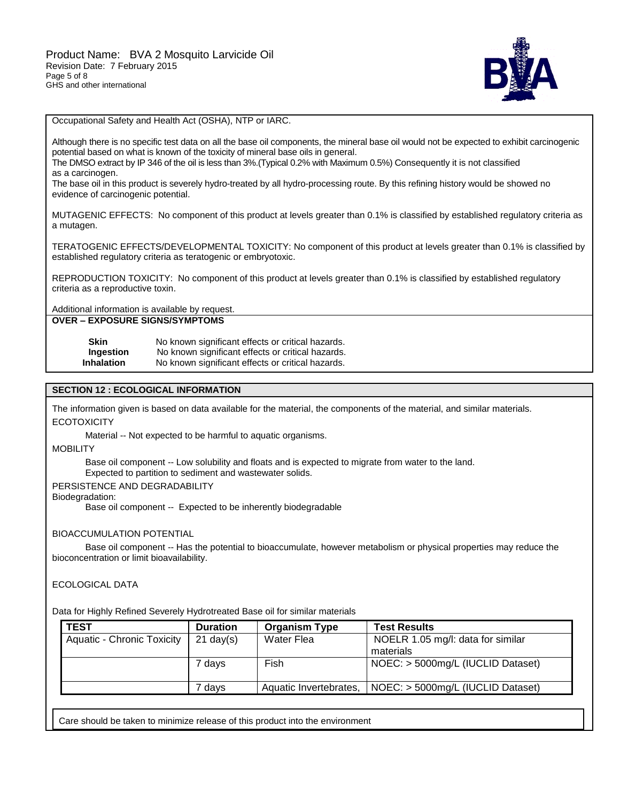

Occupational Safety and Health Act (OSHA), NTP or IARC.

Although there is no specific test data on all the base oil components, the mineral base oil would not be expected to exhibit carcinogenic potential based on what is known of the toxicity of mineral base oils in general.

The DMSO extract by IP 346 of the oil is less than 3%.(Typical 0.2% with Maximum 0.5%) Consequently it is not classified as a carcinogen.

The base oil in this product is severely hydro-treated by all hydro-processing route. By this refining history would be showed no evidence of carcinogenic potential.

MUTAGENIC EFFECTS: No component of this product at levels greater than 0.1% is classified by established regulatory criteria as a mutagen.

TERATOGENIC EFFECTS/DEVELOPMENTAL TOXICITY: No component of this product at levels greater than 0.1% is classified by established regulatory criteria as teratogenic or embryotoxic.

REPRODUCTION TOXICITY: No component of this product at levels greater than 0.1% is classified by established regulatory criteria as a reproductive toxin.

Additional information is available by request.

**OVER – EXPOSURE SIGNS/SYMPTOMS**

| Skin              | No known significant effects or critical hazards. |
|-------------------|---------------------------------------------------|
| Ingestion         | No known significant effects or critical hazards. |
| <b>Inhalation</b> | No known significant effects or critical hazards. |

## **SECTION 12 : ECOLOGICAL INFORMATION**

The information given is based on data available for the material, the components of the material, and similar materials. **ECOTOXICITY** 

Material -- Not expected to be harmful to aquatic organisms.

**MOBILITY** 

Base oil component -- Low solubility and floats and is expected to migrate from water to the land.

Expected to partition to sediment and wastewater solids.

PERSISTENCE AND DEGRADABILITY

Biodegradation:

Base oil component -- Expected to be inherently biodegradable

#### BIOACCUMULATION POTENTIAL

 Base oil component -- Has the potential to bioaccumulate, however metabolism or physical properties may reduce the bioconcentration or limit bioavailability.

## ECOLOGICAL DATA

Data for Highly Refined Severely Hydrotreated Base oil for similar materials

| TEST                              | <b>Duration</b>     | <b>Organism Type</b>   | <b>Test Results</b>               |
|-----------------------------------|---------------------|------------------------|-----------------------------------|
| <b>Aquatic - Chronic Toxicity</b> | $21 \text{ day}(s)$ | Water Flea             | NOELR 1.05 mg/l: data for similar |
|                                   |                     |                        | materials                         |
|                                   | 7 days              | Fish                   | NOEC: > 5000mg/L (IUCLID Dataset) |
|                                   | ' davs              | Aquatic Invertebrates, | NOEC: > 5000mg/L (IUCLID Dataset) |

Care should be taken to minimize release of this product into the environment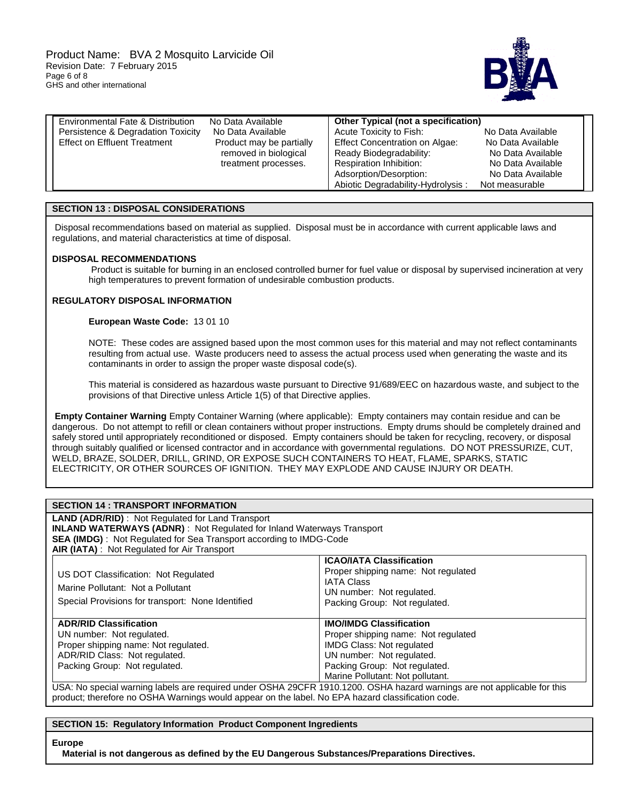

| Environmental Fate & Distribution   | No Data Available        | Other Typical (not a specification)   |                   |  |
|-------------------------------------|--------------------------|---------------------------------------|-------------------|--|
| Persistence & Degradation Toxicity  | No Data Available        | Acute Toxicity to Fish:               | No Data Available |  |
| <b>Effect on Effluent Treatment</b> | Product may be partially | <b>Effect Concentration on Algae:</b> | No Data Available |  |
|                                     | removed in biological    | Ready Biodegradability:               | No Data Available |  |
|                                     | treatment processes.     | Respiration Inhibition:               | No Data Available |  |
|                                     |                          | Adsorption/Desorption:                | No Data Available |  |
|                                     |                          | Abiotic Degradability-Hydrolysis:     | Not measurable    |  |

#### **SECTION 13 : DISPOSAL CONSIDERATIONS**

Disposal recommendations based on material as supplied. Disposal must be in accordance with current applicable laws and regulations, and material characteristics at time of disposal.

#### **DISPOSAL RECOMMENDATIONS**

Product is suitable for burning in an enclosed controlled burner for fuel value or disposal by supervised incineration at very high temperatures to prevent formation of undesirable combustion products.

## **REGULATORY DISPOSAL INFORMATION**

#### **European Waste Code:** 13 01 10

NOTE: These codes are assigned based upon the most common uses for this material and may not reflect contaminants resulting from actual use. Waste producers need to assess the actual process used when generating the waste and its contaminants in order to assign the proper waste disposal code(s).

This material is considered as hazardous waste pursuant to Directive 91/689/EEC on hazardous waste, and subject to the provisions of that Directive unless Article 1(5) of that Directive applies.

**Empty Container Warning** Empty Container Warning (where applicable): Empty containers may contain residue and can be dangerous. Do not attempt to refill or clean containers without proper instructions. Empty drums should be completely drained and safely stored until appropriately reconditioned or disposed. Empty containers should be taken for recycling, recovery, or disposal through suitably qualified or licensed contractor and in accordance with governmental regulations. DO NOT PRESSURIZE, CUT, WELD, BRAZE, SOLDER, DRILL, GRIND, OR EXPOSE SUCH CONTAINERS TO HEAT, FLAME, SPARKS, STATIC ELECTRICITY, OR OTHER SOURCES OF IGNITION. THEY MAY EXPLODE AND CAUSE INJURY OR DEATH.

| <b>SECTION 14 : TRANSPORT INFORMATION</b>                                                                                |                                     |  |  |  |  |  |
|--------------------------------------------------------------------------------------------------------------------------|-------------------------------------|--|--|--|--|--|
| <b>LAND (ADR/RID)</b> : Not Regulated for Land Transport                                                                 |                                     |  |  |  |  |  |
| <b>INLAND WATERWAYS (ADNR)</b> : Not Regulated for Inland Waterways Transport                                            |                                     |  |  |  |  |  |
| <b>SEA (IMDG)</b> : Not Regulated for Sea Transport according to IMDG-Code                                               |                                     |  |  |  |  |  |
| AIR (IATA): Not Regulated for Air Transport                                                                              |                                     |  |  |  |  |  |
|                                                                                                                          | <b>ICAO/IATA Classification</b>     |  |  |  |  |  |
| US DOT Classification: Not Regulated                                                                                     | Proper shipping name: Not regulated |  |  |  |  |  |
|                                                                                                                          | <b>IATA Class</b>                   |  |  |  |  |  |
| Marine Pollutant: Not a Pollutant                                                                                        | UN number: Not regulated.           |  |  |  |  |  |
| Special Provisions for transport: None Identified                                                                        | Packing Group: Not regulated.       |  |  |  |  |  |
|                                                                                                                          |                                     |  |  |  |  |  |
| <b>ADR/RID Classification</b>                                                                                            | <b>IMO/IMDG Classification</b>      |  |  |  |  |  |
| UN number: Not regulated.                                                                                                | Proper shipping name: Not regulated |  |  |  |  |  |
| Proper shipping name: Not regulated.                                                                                     | <b>IMDG Class: Not regulated</b>    |  |  |  |  |  |
| ADR/RID Class: Not regulated.                                                                                            | UN number: Not regulated.           |  |  |  |  |  |
| Packing Group: Not regulated.                                                                                            | Packing Group: Not regulated.       |  |  |  |  |  |
|                                                                                                                          | Marine Pollutant: Not pollutant.    |  |  |  |  |  |
| USA: No special warning labels are required under OSHA 29CFR 1910.1200. OSHA hazard warnings are not applicable for this |                                     |  |  |  |  |  |

product; therefore no OSHA Warnings would appear on the label. No EPA hazard classification code.

#### **SECTION 15: Regulatory Information Product Component Ingredients**

#### **Europe**

 **Material is not dangerous as defined by the EU Dangerous Substances/Preparations Directives.**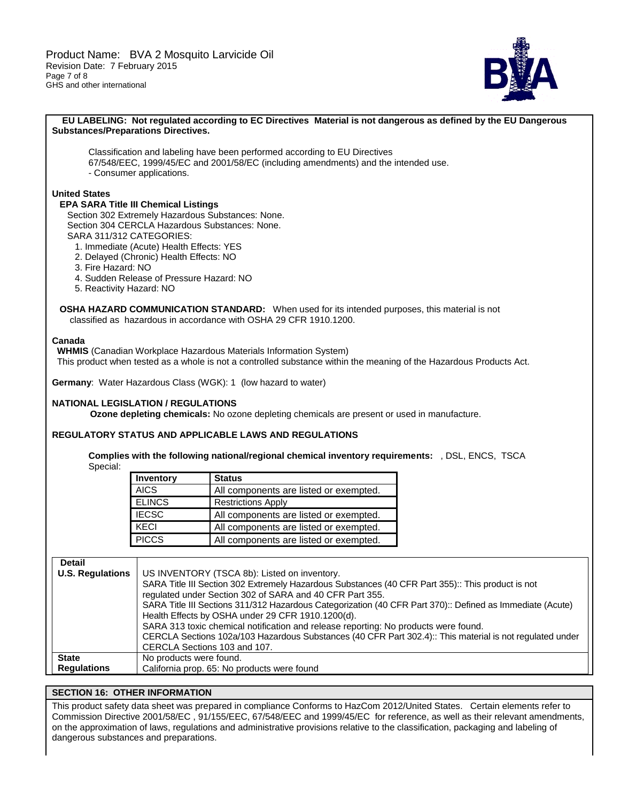

#### **EU LABELING: Not regulated according to EC Directives Material is not dangerous as defined by the EU Dangerous Substances/Preparations Directives.**

Classification and labeling have been performed according to EU Directives 67/548/EEC, 1999/45/EC and 2001/58/EC (including amendments) and the intended use. - Consumer applications.

#### **United States**

## **EPA SARA Title III Chemical Listings**

 Section 302 Extremely Hazardous Substances: None. Section 304 CERCLA Hazardous Substances: None. SARA 311/312 CATEGORIES:

- 1. Immediate (Acute) Health Effects: YES
- 2. Delayed (Chronic) Health Effects: NO
- 3. Fire Hazard: NO
- 4. Sudden Release of Pressure Hazard: NO
- 5. Reactivity Hazard: NO

 **OSHA HAZARD COMMUNICATION STANDARD:** When used for its intended purposes, this material is not classified as hazardous in accordance with OSHA 29 CFR 1910.1200.

#### **Canada**

 **WHMIS** (Canadian Workplace Hazardous Materials Information System)

This product when tested as a whole is not a controlled substance within the meaning of the Hazardous Products Act.

**Germany**: Water Hazardous Class (WGK): 1 (low hazard to water)

#### **NATIONAL LEGISLATION / REGULATIONS**

**Ozone depleting chemicals:** No ozone depleting chemicals are present or used in manufacture.

#### **REGULATORY STATUS AND APPLICABLE LAWS AND REGULATIONS**

**Complies with the following national/regional chemical inventory requirements:** , DSL, ENCS, TSCA Special:

| Inventory     | <b>Status</b>                          |  |  |  |
|---------------|----------------------------------------|--|--|--|
| <b>AICS</b>   | All components are listed or exempted. |  |  |  |
| <b>ELINCS</b> | <b>Restrictions Apply</b>              |  |  |  |
| <b>IECSC</b>  | All components are listed or exempted. |  |  |  |
| KECI          | All components are listed or exempted. |  |  |  |
| <b>PICCS</b>  | All components are listed or exempted. |  |  |  |

| <b>Detail</b>           |                                                                                                                                                                |
|-------------------------|----------------------------------------------------------------------------------------------------------------------------------------------------------------|
| <b>U.S. Regulations</b> | US INVENTORY (TSCA 8b): Listed on inventory.                                                                                                                   |
|                         | SARA Title III Section 302 Extremely Hazardous Substances (40 CFR Part 355):: This product is not<br>regulated under Section 302 of SARA and 40 CFR Part 355.  |
|                         | SARA Title III Sections 311/312 Hazardous Categorization (40 CFR Part 370):: Defined as Immediate (Acute)<br>Health Effects by OSHA under 29 CFR 1910.1200(d). |
|                         | SARA 313 toxic chemical notification and release reporting: No products were found.                                                                            |
|                         | CERCLA Sections 102a/103 Hazardous Substances (40 CFR Part 302.4):: This material is not regulated under                                                       |
|                         | CERCLA Sections 103 and 107.                                                                                                                                   |
| <b>State</b>            | No products were found.                                                                                                                                        |
| <b>Regulations</b>      | California prop. 65: No products were found                                                                                                                    |

## **SECTION 16: OTHER INFORMATION**

This product safety data sheet was prepared in compliance Conforms to HazCom 2012/United States. Certain elements refer to Commission Directive 2001/58/EC , 91/155/EEC, 67/548/EEC and 1999/45/EC for reference, as well as their relevant amendments, on the approximation of laws, regulations and administrative provisions relative to the classification, packaging and labeling of dangerous substances and preparations.